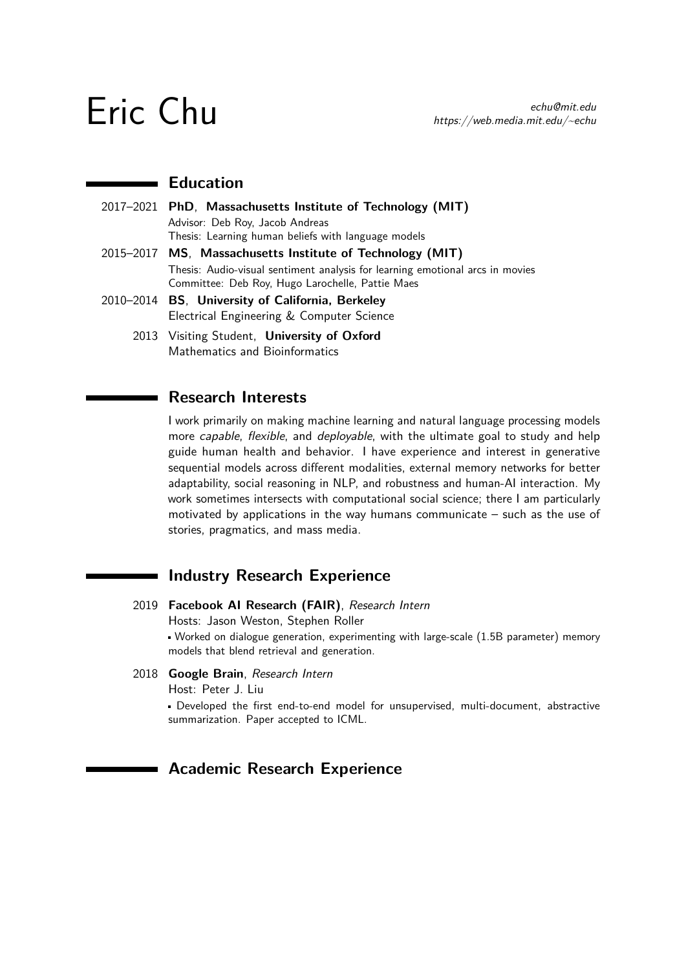## **Education**

- 2017–2021 **PhD**, **Massachusetts Institute of Technology (MIT)** Advisor: Deb Roy, Jacob Andreas Thesis: Learning human beliefs with language models 2015–2017 **MS**, **Massachusetts Institute of Technology (MIT)**
	- Thesis: Audio-visual sentiment analysis for learning emotional arcs in movies Committee: Deb Roy, Hugo Larochelle, Pattie Maes
- 2010–2014 **BS**, **University of California, Berkeley** Electrical Engineering & Computer Science
	- 2013 Visiting Student, **University of Oxford** Mathematics and Bioinformatics

## **Research Interests**

I work primarily on making machine learning and natural language processing models more capable, flexible, and deployable, with the ultimate goal to study and help guide human health and behavior. I have experience and interest in generative sequential models across different modalities, external memory networks for better adaptability, social reasoning in NLP, and robustness and human-AI interaction. My work sometimes intersects with computational social science; there I am particularly motivated by applications in the way humans communicate – such as the use of stories, pragmatics, and mass media.

## **Industry Research Experience**

2019 **Facebook AI Research (FAIR)**, Research Intern

Hosts: Jason Weston, Stephen Roller

Worked on dialogue generation, experimenting with large-scale (1.5B parameter) memory models that blend retrieval and generation.

### 2018 **Google Brain**, Research Intern

Host: Peter J. Liu

Developed the first end-to-end model for unsupervised, multi-document, abstractive summarization. Paper accepted to ICML.

## **Academic Research Experience**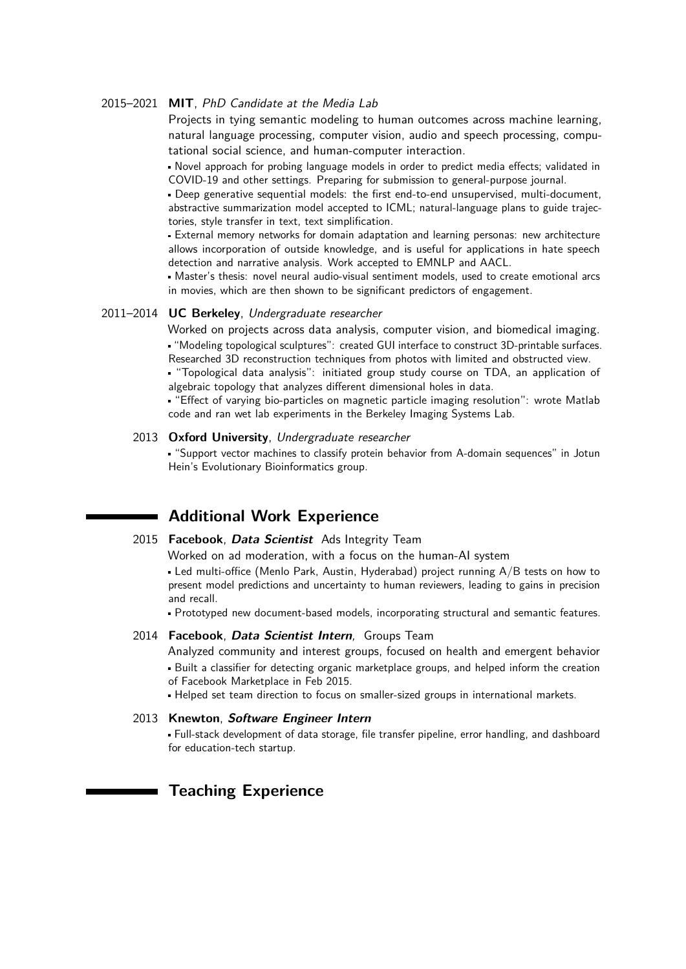#### 2015–2021 **MIT**, PhD Candidate at the Media Lab

Projects in tying semantic modeling to human outcomes across machine learning, natural language processing, computer vision, audio and speech processing, computational social science, and human-computer interaction.

Novel approach for probing language models in order to predict media effects; validated in COVID-19 and other settings. Preparing for submission to general-purpose journal.

Deep generative sequential models: the first end-to-end unsupervised, multi-document, abstractive summarization model accepted to ICML; natural-language plans to guide trajectories, style transfer in text, text simplification.

External memory networks for domain adaptation and learning personas: new architecture allows incorporation of outside knowledge, and is useful for applications in hate speech detection and narrative analysis. Work accepted to EMNLP and AACL.

Master's thesis: novel neural audio-visual sentiment models, used to create emotional arcs in movies, which are then shown to be significant predictors of engagement.

#### 2011–2014 **UC Berkeley**, Undergraduate researcher

Worked on projects across data analysis, computer vision, and biomedical imaging. "Modeling topological sculptures": created GUI interface to construct 3D-printable surfaces. Researched 3D reconstruction techniques from photos with limited and obstructed view.

"Topological data analysis": initiated group study course on TDA, an application of algebraic topology that analyzes different dimensional holes in data.

"Effect of varying bio-particles on magnetic particle imaging resolution": wrote Matlab code and ran wet lab experiments in the Berkeley Imaging Systems Lab.

#### 2013 **Oxford University**, Undergraduate researcher

"Support vector machines to classify protein behavior from A-domain sequences" in Jotun Hein's Evolutionary Bioinformatics group.

## **Additional Work Experience**

#### 2015 **Facebook**, **Data Scientist** Ads Integrity Team

Worked on ad moderation, with a focus on the human-AI system

Led multi-office (Menlo Park, Austin, Hyderabad) project running A/B tests on how to present model predictions and uncertainty to human reviewers, leading to gains in precision and recall.

Prototyped new document-based models, incorporating structural and semantic features.

#### 2014 **Facebook**, **Data Scientist Intern**, Groups Team

Analyzed community and interest groups, focused on health and emergent behavior Built a classifier for detecting organic marketplace groups, and helped inform the creation of Facebook Marketplace in Feb 2015.

Helped set team direction to focus on smaller-sized groups in international markets.

#### 2013 **Knewton**, **Software Engineer Intern**

Full-stack development of data storage, file transfer pipeline, error handling, and dashboard for education-tech startup.

## **Teaching Experience**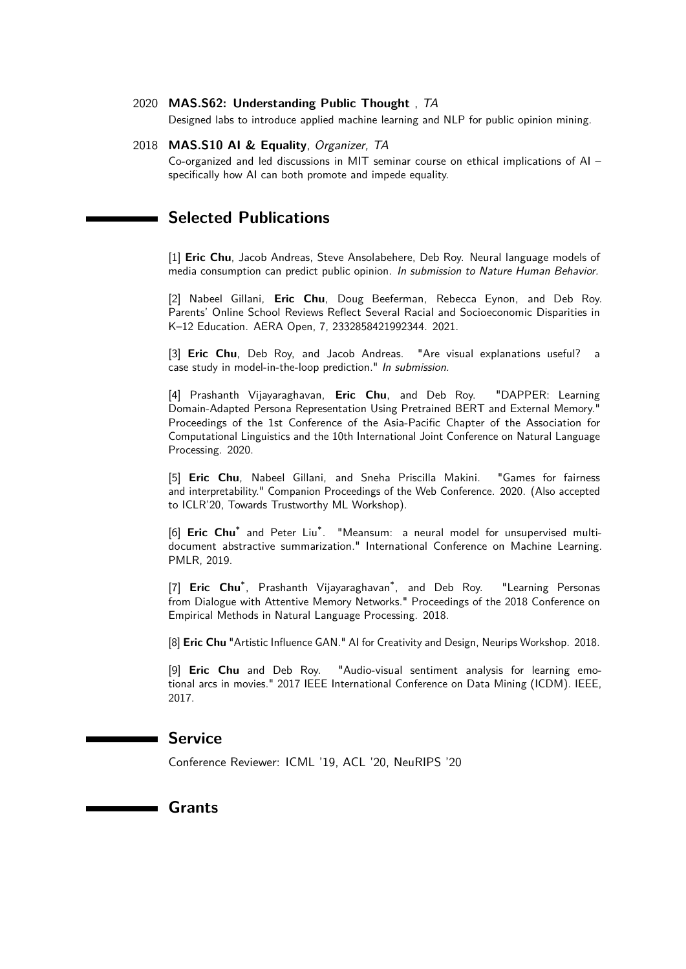#### 2020 **MAS.S62: Understanding Public Thought** , TA

Designed labs to introduce applied machine learning and NLP for public opinion mining.

#### 2018 **MAS.S10 AI & Equality**, Organizer, TA

Co-organized and led discussions in MIT seminar course on ethical implications of AI – specifically how AI can both promote and impede equality.

## **Selected Publications**

[1] **Eric Chu**, Jacob Andreas, Steve Ansolabehere, Deb Roy. Neural language models of media consumption can predict public opinion. In submission to Nature Human Behavior.

[2] Nabeel Gillani, **Eric Chu**, Doug Beeferman, Rebecca Eynon, and Deb Roy. Parents' Online School Reviews Reflect Several Racial and Socioeconomic Disparities in K–12 Education. AERA Open, 7, 2332858421992344. 2021.

[3] **Eric Chu**, Deb Roy, and Jacob Andreas. "Are visual explanations useful? a case study in model-in-the-loop prediction." In submission.

[4] Prashanth Vijayaraghavan, **Eric Chu**, and Deb Roy. "DAPPER: Learning Domain-Adapted Persona Representation Using Pretrained BERT and External Memory." Proceedings of the 1st Conference of the Asia-Pacific Chapter of the Association for Computational Linguistics and the 10th International Joint Conference on Natural Language Processing. 2020.

[5] **Eric Chu**, Nabeel Gillani, and Sneha Priscilla Makini. "Games for fairness and interpretability." Companion Proceedings of the Web Conference. 2020. (Also accepted to ICLR'20, Towards Trustworthy ML Workshop).

[6] Eric Chu<sup>\*</sup> and Peter Liu<sup>\*</sup>. "Meansum: a neural model for unsupervised multidocument abstractive summarization." International Conference on Machine Learning. PMLR, 2019.

[7] **Eric Chu**\* , Prashanth Vijayaraghavan\* "Learning Personas from Dialogue with Attentive Memory Networks." Proceedings of the 2018 Conference on Empirical Methods in Natural Language Processing. 2018.

[8] **Eric Chu** "Artistic Influence GAN." AI for Creativity and Design, Neurips Workshop. 2018.

[9] **Eric Chu** and Deb Roy. "Audio-visual sentiment analysis for learning emotional arcs in movies." 2017 IEEE International Conference on Data Mining (ICDM). IEEE, 2017.

## **Service**

Conference Reviewer: ICML '19, ACL '20, NeuRIPS '20

**Grants**